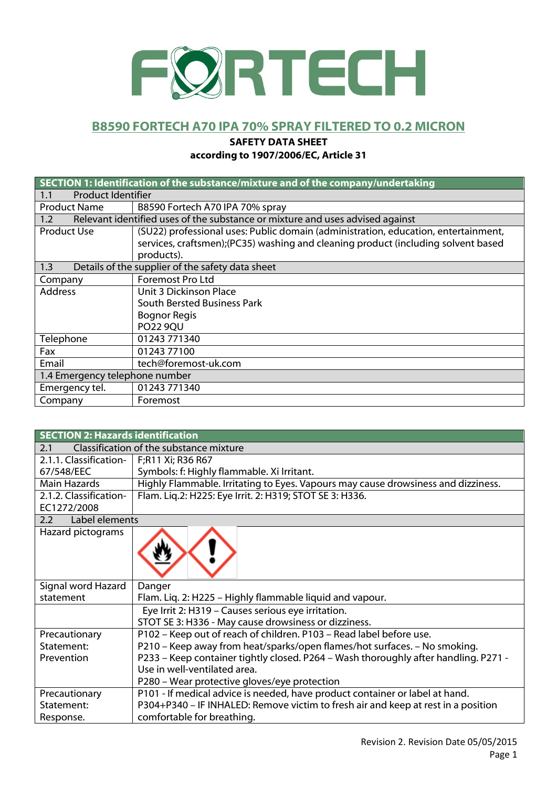

### **B8590 FORTECH A70 IPA 70% SPRAY FILTERED TO 0.2 MICRON**

#### **SAFETY DATA SHEET**

#### **according to 1907/2006/EC, Article 31**

|                                | SECTION 1: Identification of the substance/mixture and of the company/undertaking  |  |
|--------------------------------|------------------------------------------------------------------------------------|--|
| <b>Product Identifier</b>      |                                                                                    |  |
| 1.1                            |                                                                                    |  |
| <b>Product Name</b>            | B8590 Fortech A70 IPA 70% spray                                                    |  |
| 1.2                            | Relevant identified uses of the substance or mixture and uses advised against      |  |
| <b>Product Use</b>             | (SU22) professional uses: Public domain (administration, education, entertainment, |  |
|                                | services, craftsmen);(PC35) washing and cleaning product (including solvent based  |  |
|                                | products).                                                                         |  |
| 1.3                            | Details of the supplier of the safety data sheet                                   |  |
| Company                        | Foremost Pro Ltd                                                                   |  |
| <b>Address</b>                 | Unit 3 Dickinson Place                                                             |  |
|                                | South Bersted Business Park                                                        |  |
|                                | <b>Bognor Regis</b>                                                                |  |
|                                | <b>PO22 9QU</b>                                                                    |  |
| Telephone                      | 01243 771340                                                                       |  |
| Fax                            | 01243 77100                                                                        |  |
| Email                          | tech@foremost-uk.com                                                               |  |
| 1.4 Emergency telephone number |                                                                                    |  |
| Emergency tel.                 | 01243 771340                                                                       |  |
| Company                        | Foremost                                                                           |  |

| <b>SECTION 2: Hazards identification</b> |                                                                                     |  |  |
|------------------------------------------|-------------------------------------------------------------------------------------|--|--|
| 2.1                                      | Classification of the substance mixture                                             |  |  |
| 2.1.1. Classification-                   | F;R11 Xi; R36 R67                                                                   |  |  |
| 67/548/EEC                               | Symbols: f: Highly flammable. Xi Irritant.                                          |  |  |
| <b>Main Hazards</b>                      | Highly Flammable. Irritating to Eyes. Vapours may cause drowsiness and dizziness.   |  |  |
| 2.1.2. Classification-                   | Flam. Liq.2: H225: Eye Irrit. 2: H319; STOT SE 3: H336.                             |  |  |
| EC1272/2008                              |                                                                                     |  |  |
| Label elements<br>2.2                    |                                                                                     |  |  |
| Hazard pictograms                        |                                                                                     |  |  |
|                                          |                                                                                     |  |  |
|                                          |                                                                                     |  |  |
|                                          |                                                                                     |  |  |
| Signal word Hazard                       | Danger                                                                              |  |  |
| statement                                | Flam. Liq. 2: H225 - Highly flammable liquid and vapour.                            |  |  |
|                                          | Eye Irrit 2: H319 - Causes serious eye irritation.                                  |  |  |
|                                          | STOT SE 3: H336 - May cause drowsiness or dizziness.                                |  |  |
| Precautionary                            | P102 - Keep out of reach of children. P103 - Read label before use.                 |  |  |
| Statement:                               | P210 - Keep away from heat/sparks/open flames/hot surfaces. - No smoking.           |  |  |
| Prevention                               | P233 - Keep container tightly closed. P264 - Wash thoroughly after handling. P271 - |  |  |
|                                          | Use in well-ventilated area.                                                        |  |  |
|                                          | P280 - Wear protective gloves/eye protection                                        |  |  |
| Precautionary                            | P101 - If medical advice is needed, have product container or label at hand.        |  |  |
| Statement:                               | P304+P340 - IF INHALED: Remove victim to fresh air and keep at rest in a position   |  |  |
| Response.                                | comfortable for breathing.                                                          |  |  |
|                                          |                                                                                     |  |  |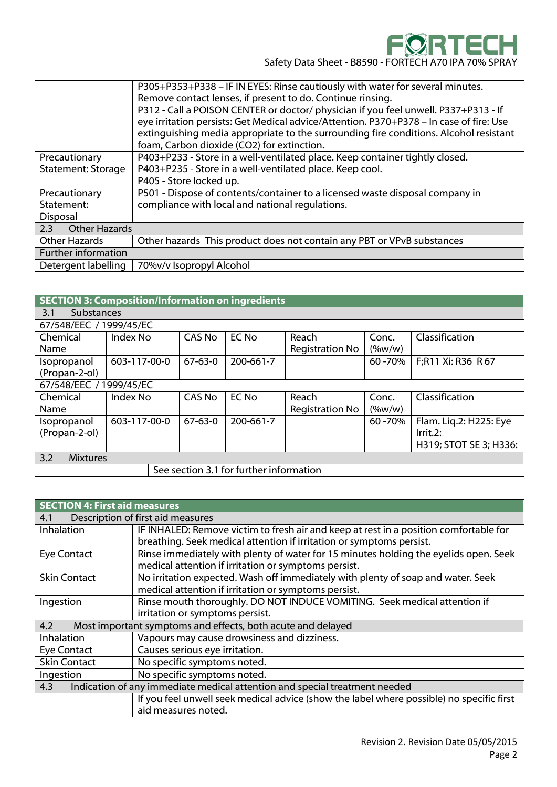

|                             | P305+P353+P338 - IF IN EYES: Rinse cautiously with water for several minutes.           |
|-----------------------------|-----------------------------------------------------------------------------------------|
|                             | Remove contact lenses, if present to do. Continue rinsing.                              |
|                             | P312 - Call a POISON CENTER or doctor/ physician if you feel unwell. P337+P313 - If     |
|                             | eye irritation persists: Get Medical advice/Attention. P370+P378 - In case of fire: Use |
|                             | extinguishing media appropriate to the surrounding fire conditions. Alcohol resistant   |
|                             | foam, Carbon dioxide (CO2) for extinction.                                              |
| Precautionary               | P403+P233 - Store in a well-ventilated place. Keep container tightly closed.            |
| <b>Statement: Storage</b>   | P403+P235 - Store in a well-ventilated place. Keep cool.                                |
|                             | P405 - Store locked up.                                                                 |
| Precautionary               | P501 - Dispose of contents/container to a licensed waste disposal company in            |
| Statement:                  | compliance with local and national regulations.                                         |
| Disposal                    |                                                                                         |
| <b>Other Hazards</b><br>2.3 |                                                                                         |
| <b>Other Hazards</b>        | Other hazards This product does not contain any PBT or VPvB substances                  |
| Further information         |                                                                                         |
| Detergent labelling         | 70%v/v Isopropyl Alcohol                                                                |
|                             |                                                                                         |

| SECTION 3: Composition/Information on ingredients |                   |               |              |                        |           |                        |
|---------------------------------------------------|-------------------|---------------|--------------|------------------------|-----------|------------------------|
| 3.1                                               | <b>Substances</b> |               |              |                        |           |                        |
| 67/548/EEC / 1999/45/EC                           |                   |               |              |                        |           |                        |
| Chemical                                          | Index No          | <b>CAS No</b> | <b>EC No</b> | Reach                  | Conc.     | Classification         |
| Name                                              |                   |               |              | <b>Registration No</b> | $(\%w/w)$ |                        |
| Isopropanol                                       | 603-117-00-0      | $67 - 63 - 0$ | 200-661-7    |                        | 60 - 70%  | F;R11 Xi: R36 R67      |
| (Propan-2-ol)                                     |                   |               |              |                        |           |                        |
| 67/548/EEC / 1999/45/EC                           |                   |               |              |                        |           |                        |
| Chemical                                          | Index No          | <b>CAS No</b> | <b>EC No</b> | Reach                  | Conc.     | Classification         |
| Name                                              |                   |               |              | <b>Registration No</b> | $(\%w/w)$ |                        |
| Isopropanol                                       | 603-117-00-0      | $67 - 63 - 0$ | 200-661-7    |                        | 60 - 70%  | Flam. Lig.2: H225: Eye |
| (Propan-2-ol)                                     |                   |               |              |                        |           | Irrit.2:               |
|                                                   |                   |               |              |                        |           | H319; STOT SE 3; H336: |
| 3.2<br><b>Mixtures</b>                            |                   |               |              |                        |           |                        |
| See section 3.1 for further information           |                   |               |              |                        |           |                        |

| <b>SECTION 4: First aid measures</b>                                              |                                                                                          |  |  |
|-----------------------------------------------------------------------------------|------------------------------------------------------------------------------------------|--|--|
| 4.1                                                                               | Description of first aid measures                                                        |  |  |
| Inhalation                                                                        | IF INHALED: Remove victim to fresh air and keep at rest in a position comfortable for    |  |  |
|                                                                                   | breathing. Seek medical attention if irritation or symptoms persist.                     |  |  |
| <b>Eye Contact</b>                                                                | Rinse immediately with plenty of water for 15 minutes holding the eyelids open. Seek     |  |  |
|                                                                                   | medical attention if irritation or symptoms persist.                                     |  |  |
| <b>Skin Contact</b>                                                               | No irritation expected. Wash off immediately with plenty of soap and water. Seek         |  |  |
|                                                                                   | medical attention if irritation or symptoms persist.                                     |  |  |
| Ingestion                                                                         | Rinse mouth thoroughly. DO NOT INDUCE VOMITING. Seek medical attention if                |  |  |
|                                                                                   | irritation or symptoms persist.                                                          |  |  |
| 4.2                                                                               | Most important symptoms and effects, both acute and delayed                              |  |  |
| Inhalation                                                                        | Vapours may cause drowsiness and dizziness.                                              |  |  |
| <b>Eye Contact</b>                                                                | Causes serious eye irritation.                                                           |  |  |
| <b>Skin Contact</b>                                                               | No specific symptoms noted.                                                              |  |  |
| Ingestion                                                                         | No specific symptoms noted.                                                              |  |  |
| Indication of any immediate medical attention and special treatment needed<br>4.3 |                                                                                          |  |  |
|                                                                                   | If you feel unwell seek medical advice (show the label where possible) no specific first |  |  |
|                                                                                   | aid measures noted.                                                                      |  |  |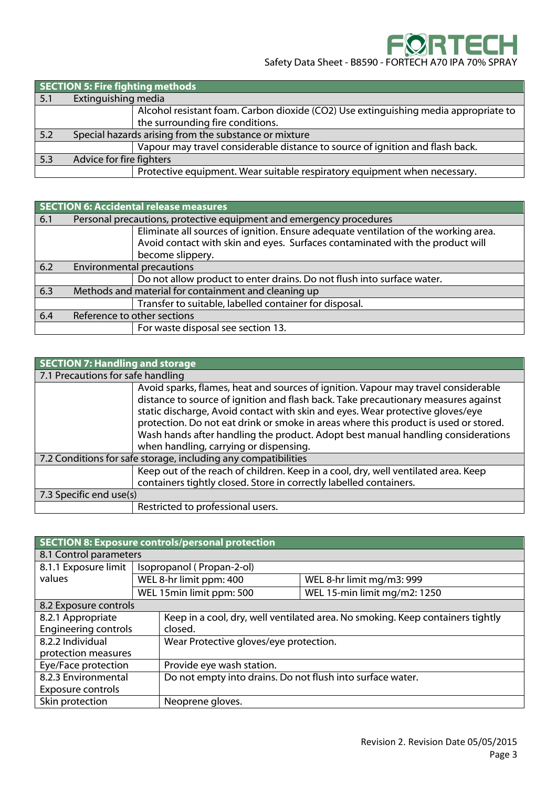|     | <b>SECTION 5: Fire fighting methods</b> |                                                                                     |  |
|-----|-----------------------------------------|-------------------------------------------------------------------------------------|--|
| 5.1 | Extinguishing media                     |                                                                                     |  |
|     |                                         | Alcohol resistant foam. Carbon dioxide (CO2) Use extinguishing media appropriate to |  |
|     |                                         | the surrounding fire conditions.                                                    |  |
| 5.2 |                                         | Special hazards arising from the substance or mixture                               |  |
|     |                                         | Vapour may travel considerable distance to source of ignition and flash back.       |  |
| 5.3 | Advice for fire fighters                |                                                                                     |  |
|     |                                         | Protective equipment. Wear suitable respiratory equipment when necessary.           |  |

|     | SECTION 6: Accidental release measures |                                                                                                                                                                                          |  |
|-----|----------------------------------------|------------------------------------------------------------------------------------------------------------------------------------------------------------------------------------------|--|
| 6.1 |                                        | Personal precautions, protective equipment and emergency procedures                                                                                                                      |  |
|     |                                        | Eliminate all sources of ignition. Ensure adequate ventilation of the working area.<br>Avoid contact with skin and eyes. Surfaces contaminated with the product will<br>become slippery. |  |
| 6.2 | <b>Environmental precautions</b>       |                                                                                                                                                                                          |  |
|     |                                        | Do not allow product to enter drains. Do not flush into surface water.                                                                                                                   |  |
| 6.3 |                                        | Methods and material for containment and cleaning up                                                                                                                                     |  |
|     |                                        | Transfer to suitable, labelled container for disposal.                                                                                                                                   |  |
| 6.4 | Reference to other sections            |                                                                                                                                                                                          |  |
|     |                                        | For waste disposal see section 13.                                                                                                                                                       |  |

| <b>SECTION 7: Handling and storage</b>                         |                                                                                                                                                                                                                                                                                                                                                                                                                                                                                  |  |
|----------------------------------------------------------------|----------------------------------------------------------------------------------------------------------------------------------------------------------------------------------------------------------------------------------------------------------------------------------------------------------------------------------------------------------------------------------------------------------------------------------------------------------------------------------|--|
| 7.1 Precautions for safe handling                              |                                                                                                                                                                                                                                                                                                                                                                                                                                                                                  |  |
|                                                                | Avoid sparks, flames, heat and sources of ignition. Vapour may travel considerable<br>distance to source of ignition and flash back. Take precautionary measures against<br>static discharge, Avoid contact with skin and eyes. Wear protective gloves/eye<br>protection. Do not eat drink or smoke in areas where this product is used or stored.<br>Wash hands after handling the product. Adopt best manual handling considerations<br>when handling, carrying or dispensing. |  |
| 7.2 Conditions for safe storage, including any compatibilities |                                                                                                                                                                                                                                                                                                                                                                                                                                                                                  |  |
|                                                                | Keep out of the reach of children. Keep in a cool, dry, well ventilated area. Keep<br>containers tightly closed. Store in correctly labelled containers.                                                                                                                                                                                                                                                                                                                         |  |
| 7.3 Specific end use(s)                                        |                                                                                                                                                                                                                                                                                                                                                                                                                                                                                  |  |
|                                                                | Restricted to professional users.                                                                                                                                                                                                                                                                                                                                                                                                                                                |  |

| SECTION 8: Exposure controls/personal protection |  |                                                                                |                              |  |
|--------------------------------------------------|--|--------------------------------------------------------------------------------|------------------------------|--|
| 8.1 Control parameters                           |  |                                                                                |                              |  |
| 8.1.1 Exposure limit                             |  | Isopropanol (Propan-2-ol)                                                      |                              |  |
| values                                           |  | WEL 8-hr limit ppm: 400                                                        | WEL 8-hr limit mg/m3: 999    |  |
|                                                  |  | WEL 15 min limit ppm: 500                                                      | WEL 15-min limit mg/m2: 1250 |  |
| 8.2 Exposure controls                            |  |                                                                                |                              |  |
| 8.2.1 Appropriate                                |  | Keep in a cool, dry, well ventilated area. No smoking. Keep containers tightly |                              |  |
| <b>Engineering controls</b>                      |  | closed.                                                                        |                              |  |
| 8.2.2 Individual                                 |  | Wear Protective gloves/eye protection.                                         |                              |  |
| protection measures                              |  |                                                                                |                              |  |
| Eye/Face protection                              |  | Provide eye wash station.                                                      |                              |  |
| 8.2.3 Environmental                              |  | Do not empty into drains. Do not flush into surface water.                     |                              |  |
| Exposure controls                                |  |                                                                                |                              |  |
| Skin protection                                  |  | Neoprene gloves.                                                               |                              |  |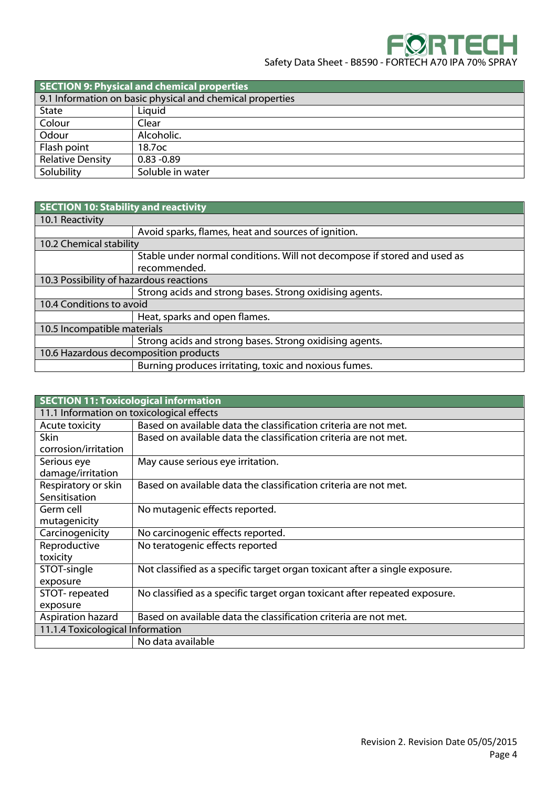| <b>SECTION 9: Physical and chemical properties</b> |                                                           |  |
|----------------------------------------------------|-----------------------------------------------------------|--|
|                                                    | 9.1 Information on basic physical and chemical properties |  |
| State                                              | Liquid                                                    |  |
| Colour                                             | Clear                                                     |  |
| Odour                                              | Alcoholic.                                                |  |
| Flash point                                        | 18.7 <sub>OC</sub>                                        |  |
| <b>Relative Density</b>                            | $0.83 - 0.89$                                             |  |
| Solubility                                         | Soluble in water                                          |  |

| SECTION 10: Stability and reactivity    |                                                                          |  |
|-----------------------------------------|--------------------------------------------------------------------------|--|
| 10.1 Reactivity                         |                                                                          |  |
|                                         | Avoid sparks, flames, heat and sources of ignition.                      |  |
| 10.2 Chemical stability                 |                                                                          |  |
|                                         | Stable under normal conditions. Will not decompose if stored and used as |  |
|                                         | recommended.                                                             |  |
| 10.3 Possibility of hazardous reactions |                                                                          |  |
|                                         | Strong acids and strong bases. Strong oxidising agents.                  |  |
| 10.4 Conditions to avoid                |                                                                          |  |
|                                         | Heat, sparks and open flames.                                            |  |
| 10.5 Incompatible materials             |                                                                          |  |
|                                         | Strong acids and strong bases. Strong oxidising agents.                  |  |
| 10.6 Hazardous decomposition products   |                                                                          |  |
|                                         | Burning produces irritating, toxic and noxious fumes.                    |  |

| <b>SECTION 11: Toxicological information</b> |                                                                             |  |
|----------------------------------------------|-----------------------------------------------------------------------------|--|
| 11.1 Information on toxicological effects    |                                                                             |  |
| Acute toxicity                               | Based on available data the classification criteria are not met.            |  |
| Skin                                         | Based on available data the classification criteria are not met.            |  |
| corrosion/irritation                         |                                                                             |  |
| Serious eye                                  | May cause serious eye irritation.                                           |  |
| damage/irritation                            |                                                                             |  |
| Respiratory or skin                          | Based on available data the classification criteria are not met.            |  |
| Sensitisation                                |                                                                             |  |
| Germ cell                                    | No mutagenic effects reported.                                              |  |
| mutagenicity                                 |                                                                             |  |
| Carcinogenicity                              | No carcinogenic effects reported.                                           |  |
| Reproductive                                 | No teratogenic effects reported                                             |  |
| toxicity                                     |                                                                             |  |
| STOT-single                                  | Not classified as a specific target organ toxicant after a single exposure. |  |
| exposure                                     |                                                                             |  |
| STOT-repeated                                | No classified as a specific target organ toxicant after repeated exposure.  |  |
| exposure                                     |                                                                             |  |
| Aspiration hazard                            | Based on available data the classification criteria are not met.            |  |
| 11.1.4 Toxicological Information             |                                                                             |  |
|                                              | No data available                                                           |  |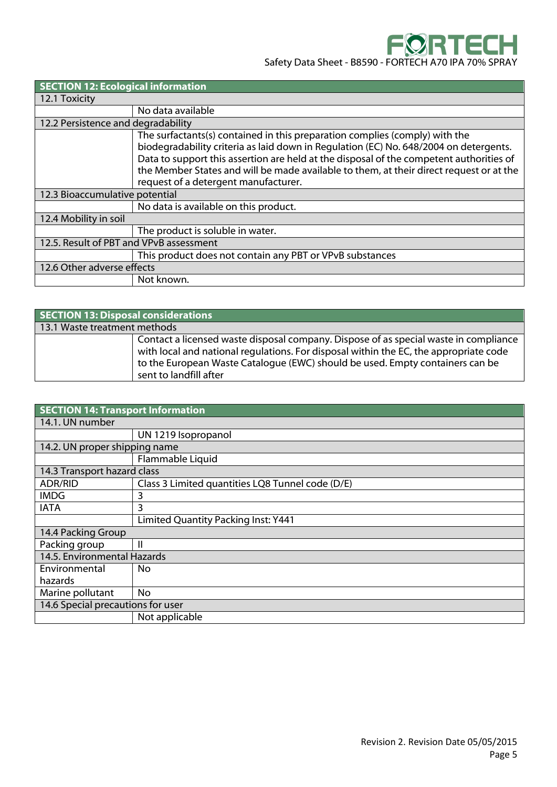| <b>SECTION 12: Ecological information</b> |                                                                                                                                                                                                                                                                                                                                                                                                    |  |
|-------------------------------------------|----------------------------------------------------------------------------------------------------------------------------------------------------------------------------------------------------------------------------------------------------------------------------------------------------------------------------------------------------------------------------------------------------|--|
| 12.1 Toxicity                             |                                                                                                                                                                                                                                                                                                                                                                                                    |  |
|                                           | No data available                                                                                                                                                                                                                                                                                                                                                                                  |  |
| 12.2 Persistence and degradability        |                                                                                                                                                                                                                                                                                                                                                                                                    |  |
|                                           | The surfactants(s) contained in this preparation complies (comply) with the<br>biodegradability criteria as laid down in Regulation (EC) No. 648/2004 on detergents.<br>Data to support this assertion are held at the disposal of the competent authorities of<br>the Member States and will be made available to them, at their direct request or at the<br>request of a detergent manufacturer. |  |
| 12.3 Bioaccumulative potential            |                                                                                                                                                                                                                                                                                                                                                                                                    |  |
|                                           | No data is available on this product.                                                                                                                                                                                                                                                                                                                                                              |  |
| 12.4 Mobility in soil                     |                                                                                                                                                                                                                                                                                                                                                                                                    |  |
|                                           | The product is soluble in water.                                                                                                                                                                                                                                                                                                                                                                   |  |
| 12.5. Result of PBT and VPvB assessment   |                                                                                                                                                                                                                                                                                                                                                                                                    |  |
|                                           | This product does not contain any PBT or VPvB substances                                                                                                                                                                                                                                                                                                                                           |  |
| 12.6 Other adverse effects                |                                                                                                                                                                                                                                                                                                                                                                                                    |  |
|                                           | Not known.                                                                                                                                                                                                                                                                                                                                                                                         |  |

| SECTION 13: Disposal considerations |                                                                                                                                                                                                                                                                                          |  |
|-------------------------------------|------------------------------------------------------------------------------------------------------------------------------------------------------------------------------------------------------------------------------------------------------------------------------------------|--|
| 13.1 Waste treatment methods        |                                                                                                                                                                                                                                                                                          |  |
|                                     | Contact a licensed waste disposal company. Dispose of as special waste in compliance<br>with local and national regulations. For disposal within the EC, the appropriate code<br>to the European Waste Catalogue (EWC) should be used. Empty containers can be<br>sent to landfill after |  |

| <b>SECTION 14: Transport Information</b> |                                                  |  |
|------------------------------------------|--------------------------------------------------|--|
| 14.1. UN number                          |                                                  |  |
|                                          | UN 1219 Isopropanol                              |  |
| 14.2. UN proper shipping name            |                                                  |  |
|                                          | Flammable Liquid                                 |  |
| 14.3 Transport hazard class              |                                                  |  |
| <b>ADR/RID</b>                           | Class 3 Limited quantities LQ8 Tunnel code (D/E) |  |
| <b>IMDG</b>                              | 3                                                |  |
| <b>IATA</b>                              | 3                                                |  |
|                                          | Limited Quantity Packing Inst: Y441              |  |
| 14.4 Packing Group                       |                                                  |  |
| Packing group                            | Ш                                                |  |
| 14.5. Environmental Hazards              |                                                  |  |
| Environmental                            | No                                               |  |
| hazards                                  |                                                  |  |
| Marine pollutant                         | <b>No</b>                                        |  |
| 14.6 Special precautions for user        |                                                  |  |
|                                          | Not applicable                                   |  |